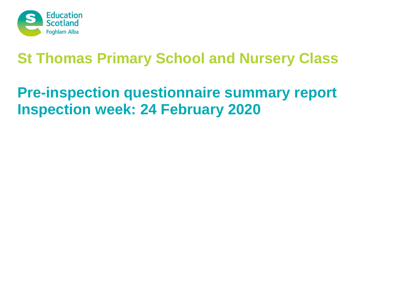

# **St Thomas Primary School and Nursery Class**

# **Pre-inspection questionnaire summary report Inspection week: 24 February 2020**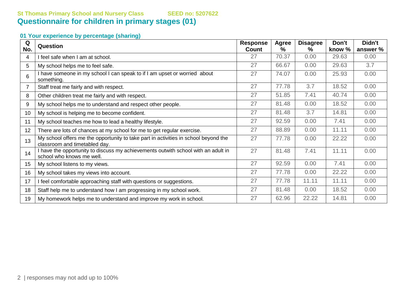## **St Thomas Primary School and Nursery Class SEED no: 5207622 Questionnaire for children in primary stages (01)**

#### **01 Your experience by percentage (sharing)**

| Q   | <b>Question</b>                                                                                                      | <b>Response</b> | Agree | <b>Disagree</b> | Don't  | Didn't   |
|-----|----------------------------------------------------------------------------------------------------------------------|-----------------|-------|-----------------|--------|----------|
| No. |                                                                                                                      | Count           | $\%$  | ℅               | know % | answer % |
| 4   | I feel safe when I am at school.                                                                                     | 27              | 70.37 | 0.00            | 29.63  | 0.00     |
| 5   | My school helps me to feel safe.                                                                                     | 27              | 66.67 | 0.00            | 29.63  | 3.7      |
| 6   | I have someone in my school I can speak to if I am upset or worried about<br>something.                              | 27              | 74.07 | 0.00            | 25.93  | 0.00     |
|     | Staff treat me fairly and with respect.                                                                              | 27              | 77.78 | 3.7             | 18.52  | 0.00     |
| 8   | Other children treat me fairly and with respect.                                                                     | 27              | 51.85 | 7.41            | 40.74  | 0.00     |
| 9   | My school helps me to understand and respect other people.                                                           | 27              | 81.48 | 0.00            | 18.52  | 0.00     |
| 10  | My school is helping me to become confident.                                                                         | 27              | 81.48 | 3.7             | 14.81  | 0.00     |
| 11  | My school teaches me how to lead a healthy lifestyle.                                                                | 27              | 92.59 | 0.00            | 7.41   | 0.00     |
| 12  | There are lots of chances at my school for me to get regular exercise.                                               | 27              | 88.89 | 0.00            | 11.11  | 0.00     |
| 13  | My school offers me the opportunity to take part in activities in school beyond the<br>classroom and timetabled day. | 27              | 77.78 | 0.00            | 22.22  | 0.00     |
| 14  | I have the opportunity to discuss my achievements outwith school with an adult in<br>school who knows me well.       | 27              | 81.48 | 7.41            | 11.11  | 0.00     |
| 15  | My school listens to my views.                                                                                       | 27              | 92.59 | 0.00            | 7.41   | 0.00     |
| 16  | My school takes my views into account.                                                                               | 27              | 77.78 | 0.00            | 22.22  | 0.00     |
| 17  | I feel comfortable approaching staff with questions or suggestions.                                                  | 27              | 77.78 | 11.11           | 11.11  | 0.00     |
| 18  | Staff help me to understand how I am progressing in my school work.                                                  | 27              | 81.48 | 0.00            | 18.52  | 0.00     |
| 19  | My homework helps me to understand and improve my work in school.                                                    | 27              | 62.96 | 22.22           | 14.81  | 0.00     |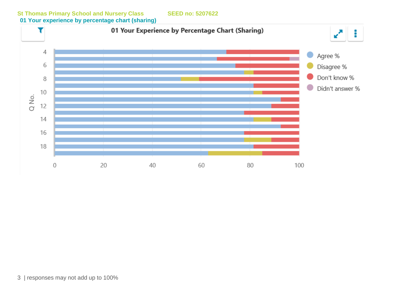01 Your Experience by Percentage Chart (Sharing) T  $\mathbf{z}^{\mathbf{z}}$ ŧ  $\overline{4}$ Agree % 6 Disagree % Don't know % 8  $\bullet$ Didn't answer %  $10$ Q No. 12  $14$ 16 18 20 40 60 80 100  $\mathbf 0$ 

**St Thomas Primary School and Nursery Class SEED no: 5207622 01 Your experience by percentage chart (sharing)**

3 | responses may not add up to 100%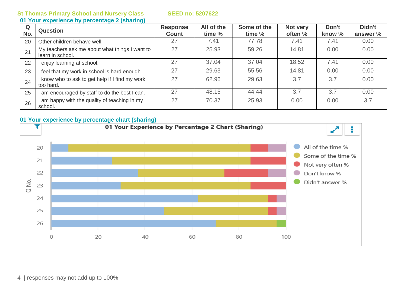**St Thomas Primary School and Nursery Class SEED no: 5207622**

#### **01 Your experience by percentage 2 (sharing)**

| Q<br>No. | <b>Question</b>                                                    | <b>Response</b><br><b>Count</b> | All of the<br>time % | Some of the<br>time % | Not very<br>often % | Don't<br>know % | Didn't<br>answer % |
|----------|--------------------------------------------------------------------|---------------------------------|----------------------|-----------------------|---------------------|-----------------|--------------------|
| 20       | Other children behave well.                                        | 27                              | 7.41                 | 77.78                 | 7.41                | 7.41            | 0.00               |
| 21       | My teachers ask me about what things I want to<br>learn in school. | 27                              | 25.93                | 59.26                 | 14.81               | 0.00            | 0.00               |
| 22       | enjoy learning at school.                                          | 27                              | 37.04                | 37.04                 | 18.52               | 7.41            | 0.00               |
| 23       | feel that my work in school is hard enough.                        | 27                              | 29.63                | 55.56                 | 14.81               | 0.00            | 0.00               |
| 24       | know who to ask to get help if I find my work<br>too hard.         | 27                              | 62.96                | 29.63                 | 3.7                 | 3.7             | 0.00               |
| 25       | am encouraged by staff to do the best I can.                       | 27                              | 48.15                | 44.44                 | 3.7                 | 3.7             | 0.00               |
| 26       | am happy with the quality of teaching in my<br>school.             | 27                              | 70.37                | 25.93                 | 0.00                | 0.00            | 3.7                |

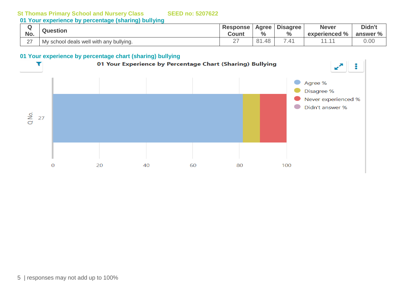#### **St Thomas Primary School and Nursery Class SEED no: 5207622**

**01 Your experience by percentage (sharing) bullying**

| No.          | <b>Question</b>                         | <b>Response</b><br>Count | Agree<br>$\%$      | <b>Disagree</b><br>$\%$ | Never<br>experienced % | Didn't<br>answer % |
|--------------|-----------------------------------------|--------------------------|--------------------|-------------------------|------------------------|--------------------|
| $\sim$<br>∠⊣ | My school deals well with any bullying. | ∩¬<br>∠                  | $\circ$<br>48<br>ັ | -<br>▵                  | .                      | u.uu               |

#### **01 Your experience by percentage chart (sharing) bullying**

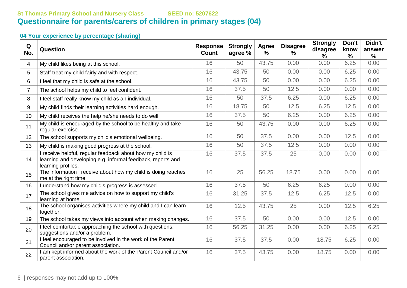### **St Thomas Primary School and Nursery Class SEED no: 5207622 Questionnaire for parents/carers of children in primary stages (04)**

### **04 Your experience by percentage (sharing)**

| Q<br>No.       | Question                                                                                                                                       | <b>Response</b><br><b>Count</b> | <b>Strongly</b><br>agree % | Agree<br>% | <b>Disagree</b><br>% | <b>Strongly</b><br>disagree<br>% | Don't<br>know<br>$\frac{9}{6}$ | Didn't<br>answer<br>% |
|----------------|------------------------------------------------------------------------------------------------------------------------------------------------|---------------------------------|----------------------------|------------|----------------------|----------------------------------|--------------------------------|-----------------------|
| 4              | My child likes being at this school.                                                                                                           | 16                              | 50                         | 43.75      | 0.00                 | 0.00                             | 6.25                           | 0.00                  |
| 5              | Staff treat my child fairly and with respect.                                                                                                  | 16                              | 43.75                      | 50         | 0.00                 | 0.00                             | 6.25                           | 0.00                  |
| 6              | I feel that my child is safe at the school.                                                                                                    | 16                              | 43.75                      | 50         | 0.00                 | 0.00                             | 6.25                           | 0.00                  |
| $\overline{7}$ | The school helps my child to feel confident.                                                                                                   | 16                              | 37.5                       | 50         | 12.5                 | 0.00                             | 0.00                           | 0.00                  |
| 8              | I feel staff really know my child as an individual.                                                                                            | 16                              | 50                         | 37.5       | 6.25                 | 0.00                             | 6.25                           | 0.00                  |
| 9              | My child finds their learning activities hard enough.                                                                                          | 16                              | 18.75                      | 50         | 12.5                 | 6.25                             | 12.5                           | 0.00                  |
| 10             | My child receives the help he/she needs to do well.                                                                                            | 16                              | 37.5                       | 50         | 6.25                 | 0.00                             | 6.25                           | 0.00                  |
| 11             | My child is encouraged by the school to be healthy and take<br>regular exercise.                                                               | 16                              | 50                         | 43.75      | 0.00                 | 0.00                             | 6.25                           | 0.00                  |
| 12             | The school supports my child's emotional wellbeing.                                                                                            | 16                              | 50                         | 37.5       | 0.00                 | 0.00                             | 12.5                           | 0.00                  |
| 13             | My child is making good progress at the school.                                                                                                | 16                              | 50                         | 37.5       | 12.5                 | 0.00                             | 0.00                           | 0.00                  |
| 14             | I receive helpful, regular feedback about how my child is<br>learning and developing e.g. informal feedback, reports and<br>learning profiles. | 16                              | 37.5                       | 37.5       | 25                   | 0.00                             | 0.00                           | 0.00                  |
| 15             | The information I receive about how my child is doing reaches<br>me at the right time.                                                         | 16                              | 25                         | 56.25      | 18.75                | 0.00                             | 0.00                           | 0.00                  |
| 16             | I understand how my child's progress is assessed.                                                                                              | 16                              | 37.5                       | 50         | 6.25                 | 6.25                             | 0.00                           | 0.00                  |
| 17             | The school gives me advice on how to support my child's<br>learning at home.                                                                   | 16                              | 31.25                      | 37.5       | 12.5                 | 6.25                             | 12.5                           | 0.00                  |
| 18             | The school organises activities where my child and I can learn<br>together.                                                                    | 16                              | 12.5                       | 43.75      | 25                   | 0.00                             | 12.5                           | 6.25                  |
| 19             | The school takes my views into account when making changes.                                                                                    | 16                              | 37.5                       | 50         | 0.00                 | 0.00                             | 12.5                           | 0.00                  |
| 20             | I feel comfortable approaching the school with questions,<br>suggestions and/or a problem.                                                     | 16                              | 56.25                      | 31.25      | 0.00                 | 0.00                             | 6.25                           | 6.25                  |
| 21             | I feel encouraged to be involved in the work of the Parent<br>Council and/or parent association.                                               | 16                              | 37.5                       | 37.5       | 0.00                 | 18.75                            | 6.25                           | 0.00                  |
| 22             | I am kept informed about the work of the Parent Council and/or<br>parent association.                                                          | 16                              | 37.5                       | 43.75      | 0.00                 | 18.75                            | 0.00                           | 0.00                  |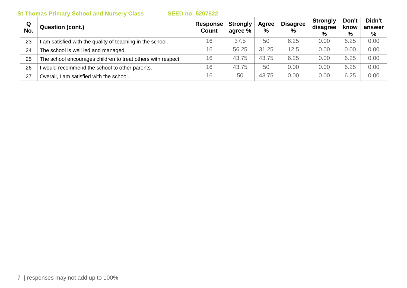**St Thomas Primary School and Nursery Class SEED no: 5207622**

| Q<br>No. | <b>Question (cont.)</b>                                      | Response<br><b>Count</b> | <b>Strongly</b><br>agree % | Agree<br>$\%$ | <b>Disagree</b><br>$\frac{0}{0}$ | <b>Strongly</b><br>disagree<br>% | Don't<br>know<br>% | Didn't<br>answer<br>% |
|----------|--------------------------------------------------------------|--------------------------|----------------------------|---------------|----------------------------------|----------------------------------|--------------------|-----------------------|
| 23       | I am satisfied with the quality of teaching in the school.   | 16                       | 37.5                       | 50            | 6.25                             | 0.00                             | 6.25               | 0.00                  |
| 24       | The school is well led and managed.                          | 16                       | 56.25                      | 31.25         | 12.5                             | 0.00                             | 0.00               | 0.00                  |
| 25       | The school encourages children to treat others with respect. | 16                       | 43.75                      | 43.75         | 6.25                             | 0.00                             | 6.25               | 0.00                  |
| 26       | would recommend the school to other parents.                 | 16                       | 43.75                      | 50            | 0.00                             | 0.00                             | 6.25               | 0.00                  |
| 27       | Overall, I am satisfied with the school.                     | 16                       | 50                         | 43.75         | 0.00                             | 0.00                             | 6.25               | 0.00                  |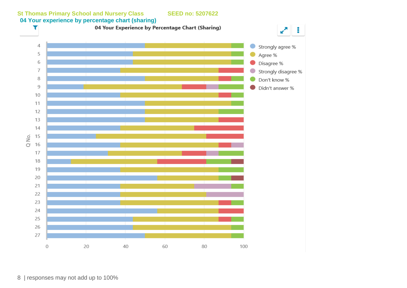

8 | responses may not add up to 100%